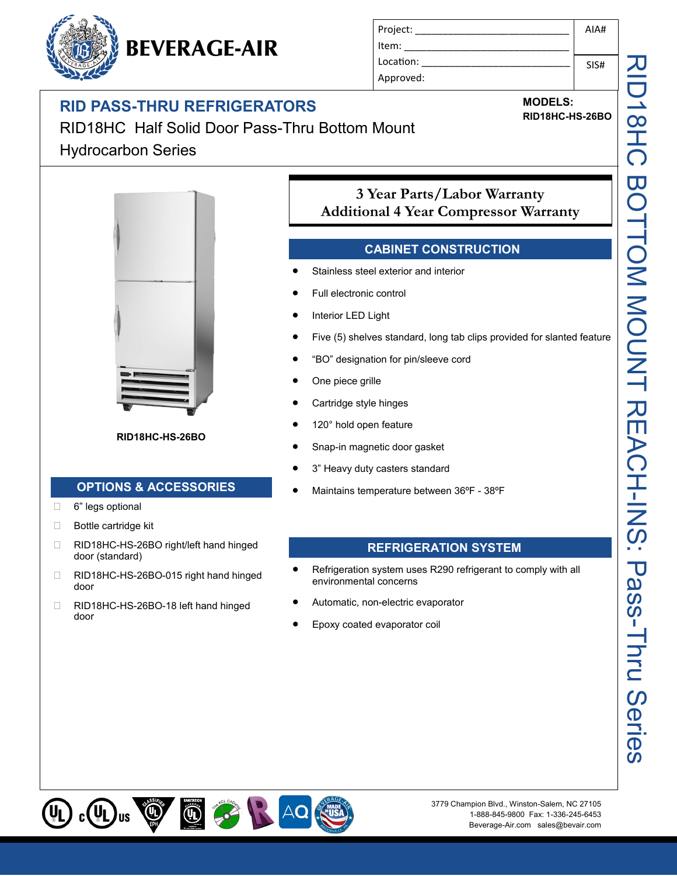## **RID PASS-THRU REFRIGERATORS**

**BEVERAGE-AIR** 

| Project:  | AIA# |
|-----------|------|
| Item:     |      |
| Location: | SIS# |
| Approved: |      |

# **MODELS:**

**RID18HC-HS-26BO**

RID18HC Half Solid Door Pass-Thru Bottom Mount Hydrocarbon Series



**RID18HC-HS-26BO**

#### **OPTIONS & ACCESSORIES**

- □ 6" legs optional
- □ Bottle cartridge kit
- □ RID18HC-HS-26BO right/left hand hinged door (standard)
- □ RID18HC-HS-26BO-015 right hand hinged door
- □ RID18HC-HS-26BO-18 left hand hinged door

## **3 Year Parts/Labor Warranty Additional 4 Year Compressor Warranty**

#### **CABINET CONSTRUCTION**

- Stainless steel exterior and interior
- Full electronic control
- Interior LED Light
- Five (5) shelves standard, long tab clips provided for slanted feature
- "BO" designation for pin/sleeve cord
- One piece grille
- Cartridge style hinges
- 120° hold open feature
- Snap-in magnetic door gasket
- 3" Heavy duty casters standard
- Maintains temperature between 36ºF 38ºF

#### **REFRIGERATION SYSTEM**

- Refrigeration system uses R290 refrigerant to comply with all environmental concerns
- Automatic, non-electric evaporator
- Epoxy coated evaporator coil